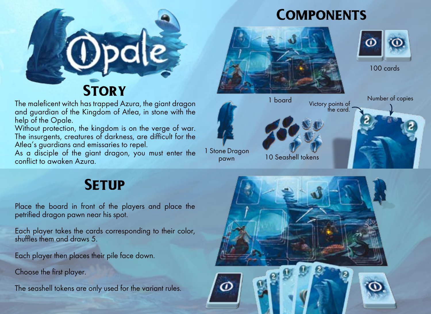

The maleficent witch has trapped Azura, the giant dragon and auardian of the Kingdom of Atlea, in stone with the help of the Opale.

Without protection, the kingdom is on the verge of war. The insurgents, creatures of darkness, are difficult for the Atlea's guardians and emissaries to repel.

As a disciple of the giant dragon, you must enter the conflict to awaken Azura.

## **COMPONENTS**





100 cards



# **SETUP**

Place the board in front of the players and place the petrified dragon pawn near his spot.

Each player takes the cards corresponding to their color, shuffles them and draws 5.

Each player then places their pile face down.

Choose the first player.

The seashell tokens are only used for the variant rules.

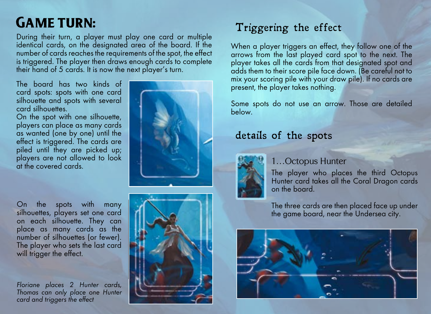# **GAME TURN:**

During their turn, a player must play one card or multiple identical cards, on the designated area of the board. If the number of cards reaches the requirements of the spot, the effect is triggered. The player then draws enough cards to complete their hand of 5 cards. It is now the next player's turn.

The board has two kinds of card spots: spots with one card silhouette and spots with several card silhouettes.

On the spot with one silhouette, players can place as many cards as wanted (one by one) until the effect is triggered. The cards are piled until they are picked up; players are not allowed to look at the covered cards.

On the spots with many silhouettes, players set one card on each silhouette. They can place as many cards as the number of silhouettes (or fewer). The player who sets the last card will trigger the effect.

Floriane places 2 Hunter cards, Thomas can only place one Hunter card and triggers the effect





## Triggering the effect

When a player triggers an effect, they follow one of the arrows from the last played card spot to the next. The player takes all the cards from that designated spot and adds them to their score pile face down. (Be careful not to mix your scoring pile with your draw pile). If no cards are present, the player takes nothing.

Some spots do not use an arrow. Those are detailed below.

### details of the spots



### 1…Octopus Hunter

The player who places the third Octopus Hunter card takes all the Coral Dragon cards on the board.

The three cards are then placed face up under the game board, near the Undersea city.

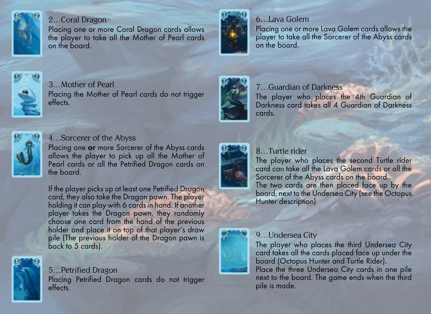

#### 2…Coral Dragon

Placing one or more Coral Dragon cards allows the player to take all the Mother of Pearl cards on the board.



### 6…Lava Golem

Placing one or more Lava Golem cards allows the player to take all the Sorcerer of the Abyss cards on the board.



#### 3…Mother of Pearl Placing the Mother of Pearl cards do not trigger effects.



#### 7…Guardian of Darkness

The player who places the 4th Guardian of Darkness card takes all 4 Guardian of Darkness cards.



#### 4…Sorcerer of the Abyss

Placing one **or** more Sorcerer of the Abyss cards allows the player to pick up all the Mother of Pearl cards or all the Petrified Dragon cards on the board.

If the player picks up at least one Petrified Dragon card, they also take the Dragon pawn. The player holding it can play with 6 cards in hand. If another player takes the Dragon pawn, they randomly choose one card from the hand of the previous holder and place it on top of that player's draw pile (The previous holder of the Dragon pawn is back to 5 cards).



5…Petrified Dragon Placing Petrified Dragon cards do not trigger effects.



### 8…Turtle rider

The player who places the second Turtle rider card can take all the Lava Golem cards or all the Sorcerer of the Abyss cards on the board. The two cards are then placed face up by the board, next to the Undersea City (see the Octopus Hunter description)

### 9…Undersea City

The player who places the third Undersea City card takes all the cards placed face up under the board (Octopus Hunter and Turtle Rider). Place the three Undersea City cards in one pile next to the board. The game ends when the third pile is made.